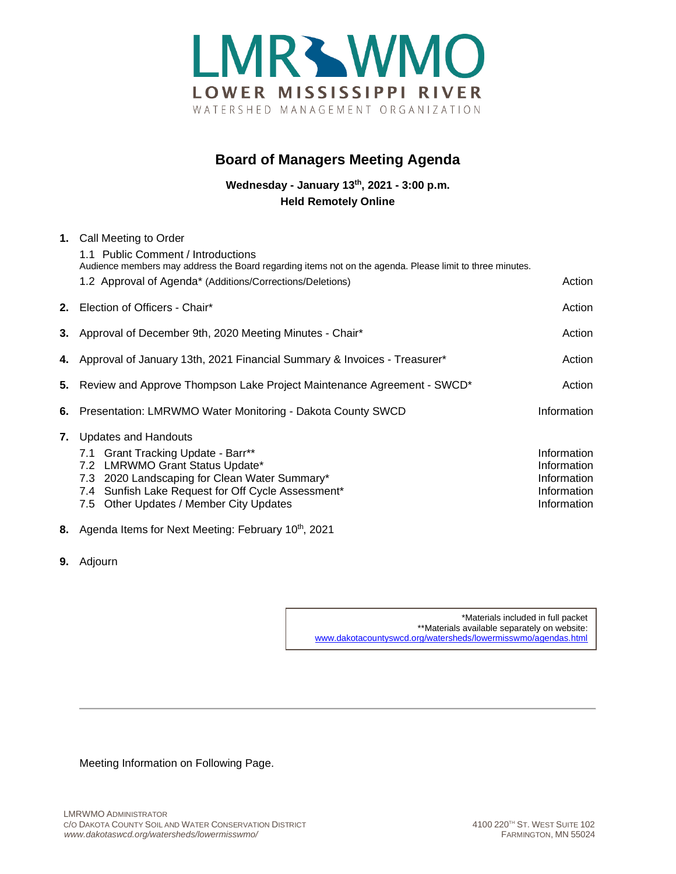

## **Board of Managers Meeting Agenda**

**Wednesday - January 13th, 2021 - 3:00 p.m. Held Remotely Online**

| 1. Call Meeting to Order                                                                                 |             |
|----------------------------------------------------------------------------------------------------------|-------------|
| 1.1 Public Comment / Introductions                                                                       |             |
| Audience members may address the Board regarding items not on the agenda. Please limit to three minutes. |             |
| 1.2 Approval of Agenda* (Additions/Corrections/Deletions)                                                | Action      |
| 2. Election of Officers - Chair*                                                                         | Action      |
| 3. Approval of December 9th, 2020 Meeting Minutes - Chair*                                               | Action      |
| 4. Approval of January 13th, 2021 Financial Summary & Invoices - Treasurer*                              | Action      |
| 5. Review and Approve Thompson Lake Project Maintenance Agreement - SWCD*                                | Action      |
| 6. Presentation: LMRWMO Water Monitoring - Dakota County SWCD                                            | Information |
| 7. Updates and Handouts                                                                                  |             |
| 7.1 Grant Tracking Update - Barr**                                                                       | Information |
| 7.2 LMRWMO Grant Status Update*                                                                          | Information |
| 7.3 2020 Landscaping for Clean Water Summary*                                                            | Information |
| 7.4 Sunfish Lake Request for Off Cycle Assessment*                                                       | Information |
| 7.5 Other Updates / Member City Updates                                                                  | Information |
| 8. Agenda Items for Next Meeting: February 10 <sup>th</sup> , 2021                                       |             |

**9.** Adjourn

\*Materials included in full packet \*\*Materials available separately on website: [www.dakotacountyswcd.org/watersheds/lowermisswmo/agendas.html](http://www.dakotacountyswcd.org/watersheds/lowermisswmo/agendas.html)

Meeting Information on Following Page.